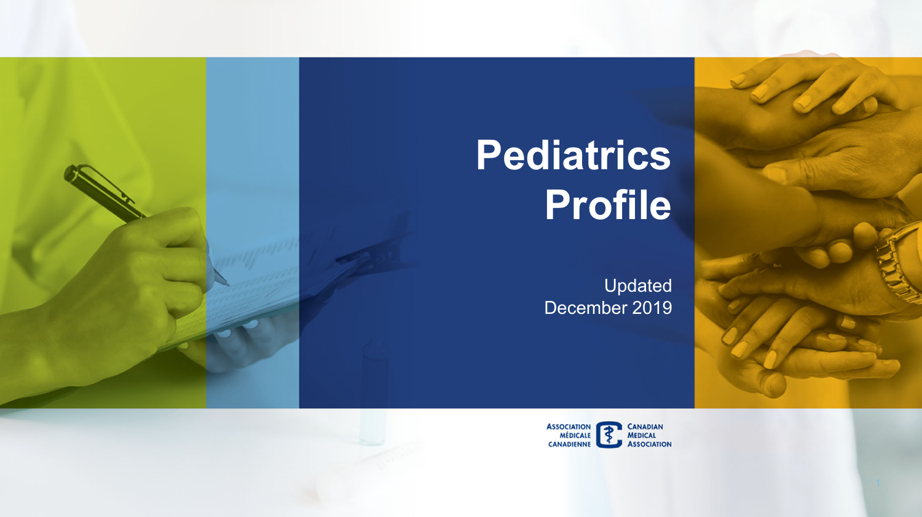# **Pediatrics Profile**

Updated December 2019



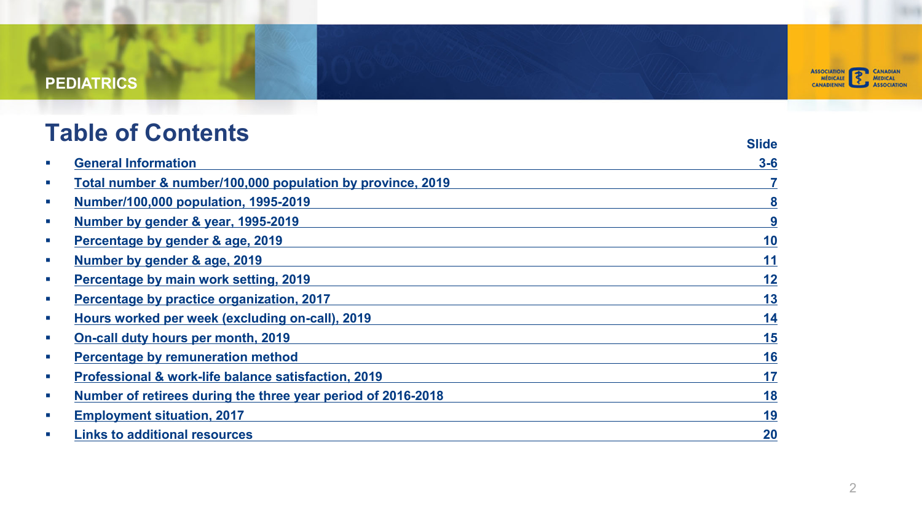

### **[Table of Contents](#page-11-0)**

|            |                                                              | Slide |
|------------|--------------------------------------------------------------|-------|
| ×          | <b>General Information</b>                                   | $3-6$ |
| ш          | Total number & number/100,000 population by province, 2019   |       |
| ш          | Number/100,000 population, 1995-2019                         | 8     |
| <b>COL</b> | Number by gender & year, 1995-2019                           | 9     |
| ш          | Percentage by gender & age, 2019                             | 10    |
| ш          | Number by gender & age, 2019                                 | 11    |
| ш          | Percentage by main work setting, 2019                        | 12    |
| ш          | Percentage by practice organization, 2017                    | 13    |
| <b>COL</b> | Hours worked per week (excluding on-call), 2019              | 14    |
| ш          | On-call duty hours per month, 2019                           | 15    |
| ш          | Percentage by remuneration method                            | 16    |
| <b>COL</b> | Professional & work-life balance satisfaction, 2019          | 17    |
| ш          | Number of retirees during the three year period of 2016-2018 | 18    |
| ш          | <b>Employment situation, 2017</b>                            | 19    |
| ×          | <b>Links to additional resources</b>                         | 20    |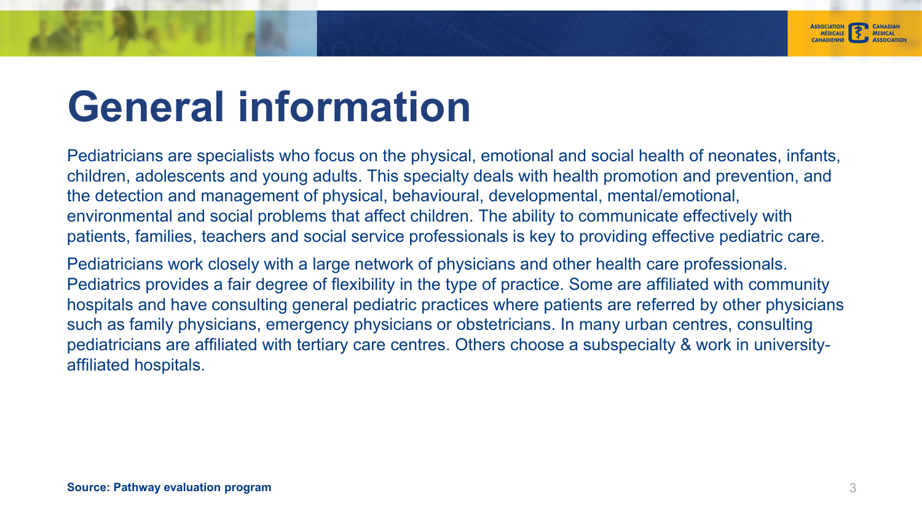

Pediatricians are specialists who focus on the physical, emotional and social health of neonates, infants, children, adolescents and young adults. This specialty deals with health promotion and prevention, and the detection and management of physical, behavioural, developmental, mental/emotional, environmental and social problems that affect children. The ability to communicate effectively with patients, families, teachers and social service professionals is key to providing effective pediatric care.

Pediatricians work closely with a large network of physicians and other health care professionals. Pediatrics provides a fair degree of flexibility in the type of practice. Some are affiliated with community hospitals and have consulting general pediatric practices where patients are referred by other physicians such as family physicians, emergency physicians or obstetricians. In many urban centres, consulting pediatricians are affiliated with tertiary care centres. Others choose a subspecialty & work in universityaffiliated hospitals.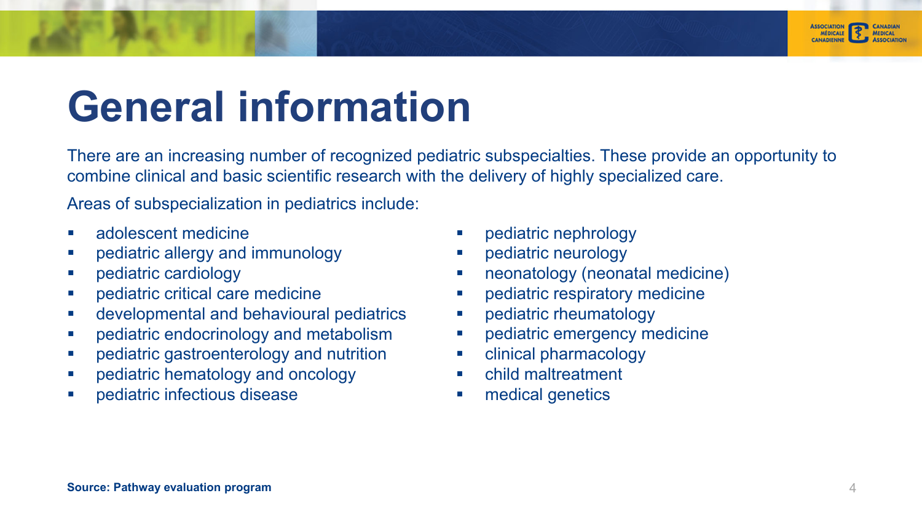

There are an increasing number of recognized pediatric subspecialties. These provide an opportunity to combine clinical and basic scientific research with the delivery of highly specialized care.

Areas of subspecialization in pediatrics include:

- $\mathcal{L}_{\mathcal{A}}$ adolescent medicine
- п pediatric allergy and immunology
- u, pediatric cardiology
- $\overline{\phantom{a}}$ pediatric critical care medicine
- $\overline{\phantom{a}}$ developmental and behavioural pediatrics
- a. pediatric endocrinology and metabolism
- $\overline{\phantom{a}}$ pediatric gastroenterology and nutrition
- $\overline{\phantom{a}}$ pediatric hematology and oncology
- L. pediatric infectious disease
- Г pediatric nephrology
- $\blacksquare$ pediatric neurology
- $\mathcal{L}_{\mathcal{A}}$ neonatology (neonatal medicine)
- $\mathcal{L}_{\mathcal{A}}$ pediatric respiratory medicine
- $\mathcal{L}_{\mathcal{A}}$ pediatric rheumatology
- $\overline{\phantom{a}}$ pediatric emergency medicine
- $\mathcal{L}_{\mathcal{A}}$ clinical pharmacology
- Г child maltreatment
- г medical genetics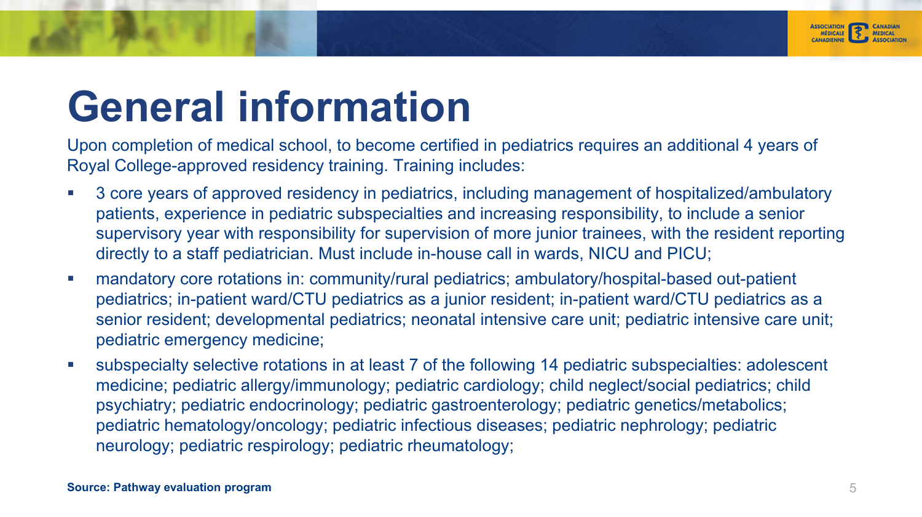

Upon completion of medical school, to become certified in pediatrics requires an additional 4 years of Royal College-approved residency training. Training includes:

- Ē. 3 core years of approved residency in pediatrics, including management of hospitalized/ambulatory patients, experience in pediatric subspecialties and increasing responsibility, to include a senior supervisory year with responsibility for supervision of more junior trainees, with the resident reporting directly to a staff pediatrician. Must include in-house call in wards, NICU and PICU;
- $\mathcal{C}$  mandatory core rotations in: community/rural pediatrics; ambulatory/hospital-based out-patient pediatrics; in-patient ward/CTU pediatrics as a junior resident; in-patient ward/CTU pediatrics as a senior resident; developmental pediatrics; neonatal intensive care unit; pediatric intensive care unit; pediatric emergency medicine;
- П subspecialty selective rotations in at least 7 of the following 14 pediatric subspecialties: adolescent medicine; pediatric allergy/immunology; pediatric cardiology; child neglect/social pediatrics; child psychiatry; pediatric endocrinology; pediatric gastroenterology; pediatric genetics/metabolics; pediatric hematology/oncology; pediatric infectious diseases; pediatric nephrology; pediatric neurology; pediatric respirology; pediatric rheumatology;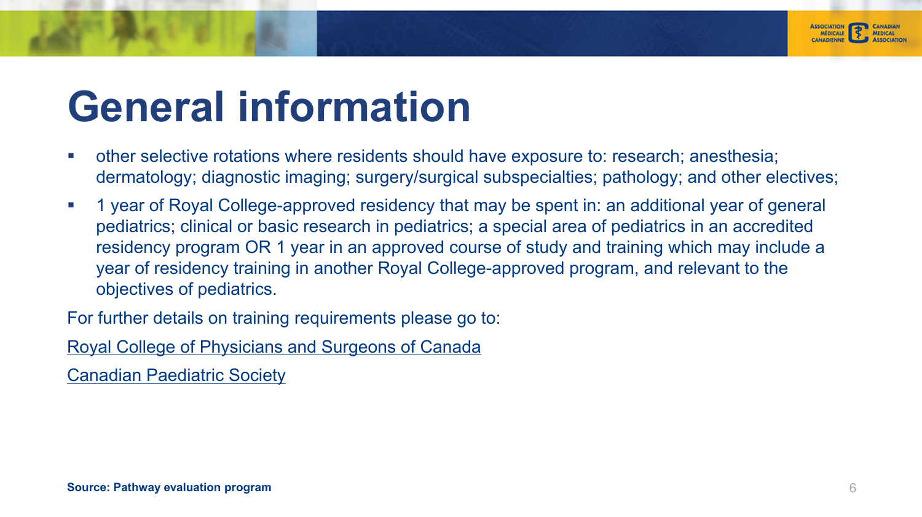

- ×. other selective rotations where residents should have exposure to: research; anesthesia; dermatology; diagnostic imaging; surgery/surgical subspecialties; pathology; and other electives;
- п 1 year of Royal College-approved residency that may be spent in: an additional year of general pediatrics; clinical or basic research in pediatrics; a special area of pediatrics in an accredited residency program OR 1 year in an approved course of study and training which may include a year of residency training in another Royal College-approved program, and relevant to the objectives of pediatrics.

For further details on training requirements please go to:

Royal College of Physicians and Surgeons of Canada

Canadian Paediatric Society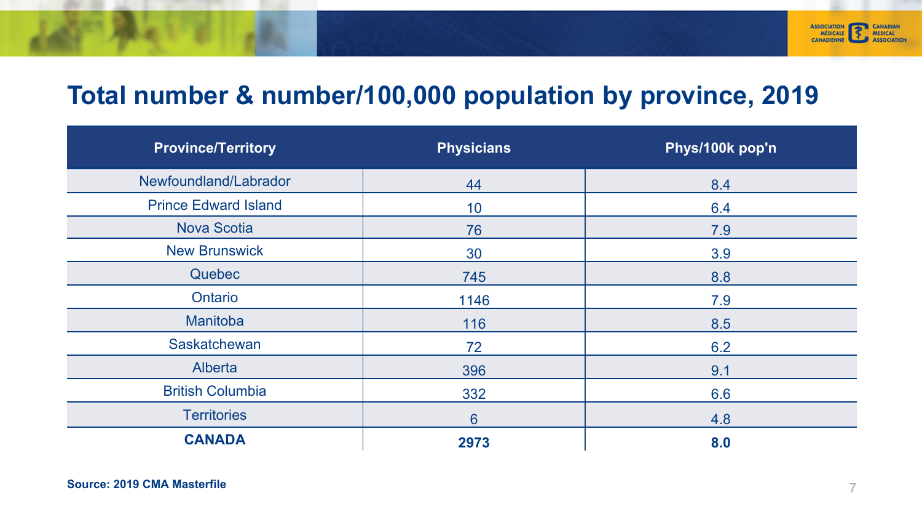

### **Total number & number/100,000 population by province, 2019**

| <b>Province/Territory</b>   | <b>Physicians</b> | Phys/100k pop'n |
|-----------------------------|-------------------|-----------------|
| Newfoundland/Labrador       | 44                | 8.4             |
| <b>Prince Edward Island</b> | 10                | 6.4             |
| <b>Nova Scotia</b>          | 76                | 7.9             |
| <b>New Brunswick</b>        | 30                | 3.9             |
| Quebec                      | 745               | 8.8             |
| Ontario                     | 1146              | 7.9             |
| Manitoba                    | 116               | 8.5             |
| Saskatchewan                | 72                | 6.2             |
| Alberta                     | 396               | 9.1             |
| <b>British Columbia</b>     | 332               | 6.6             |
| <b>Territories</b>          | 6                 | 4.8             |
| <b>CANADA</b>               | 2973              | 8.0             |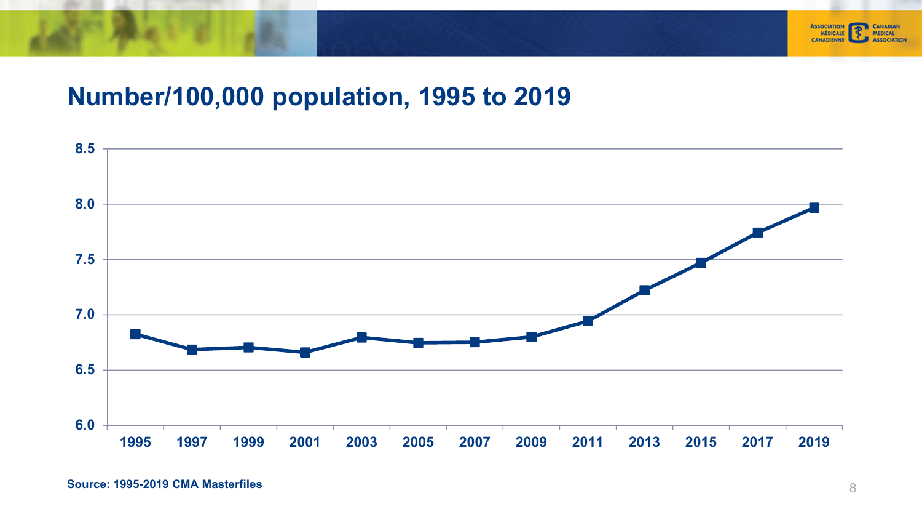

### **Number/100,000 population, 1995 to 2019**

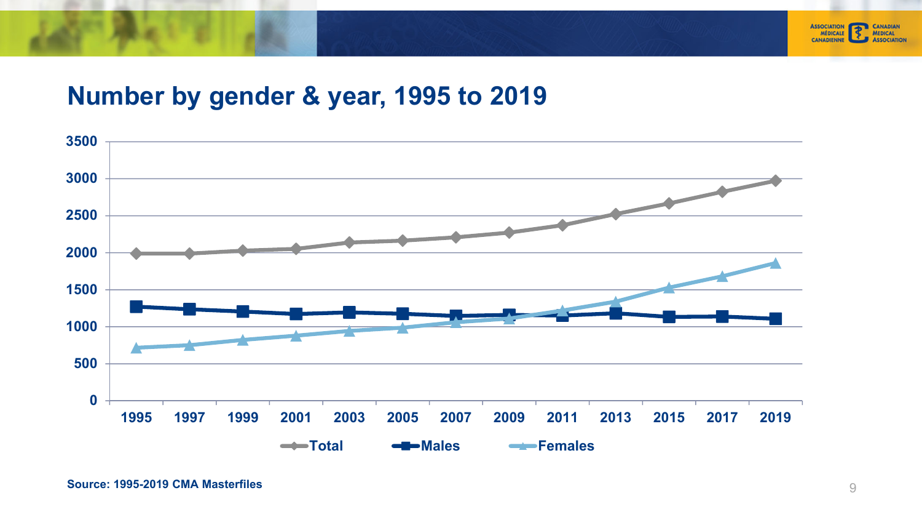

#### <span id="page-8-0"></span>**Number by gender & year, 1995 to 2019**

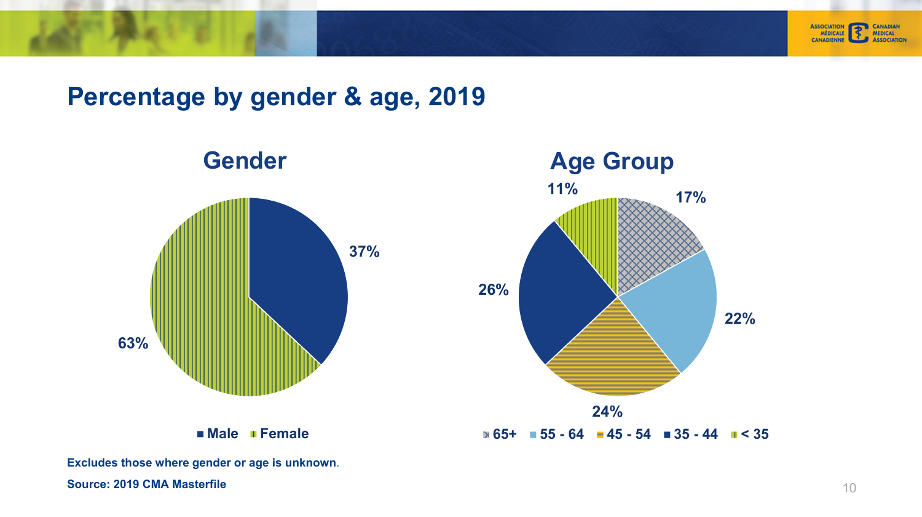



#### **Percentage by gender & age, 2019**



**Excludes those where gender or age is unknown**.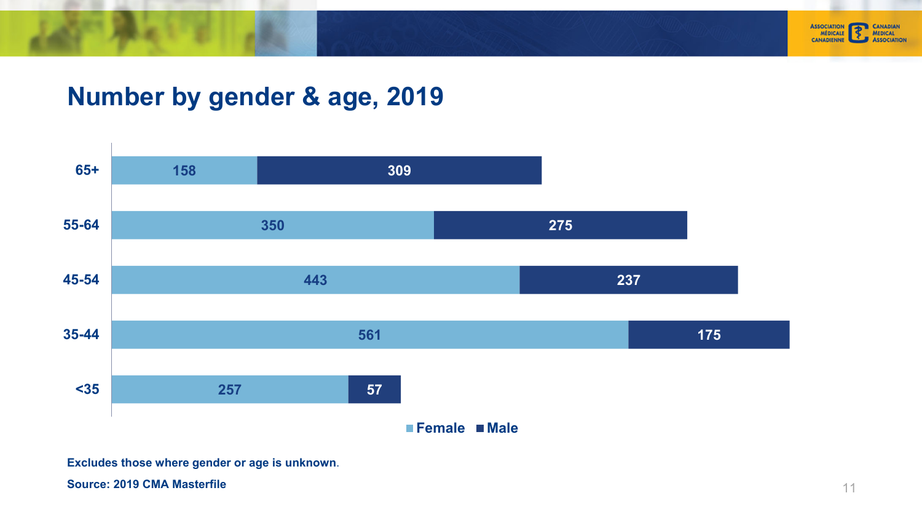<span id="page-10-0"></span>



#### **Number by gender & age, 2019**



**Excludes those where gender or age is unknown**.

**Source: 2019 CMA Masterfile**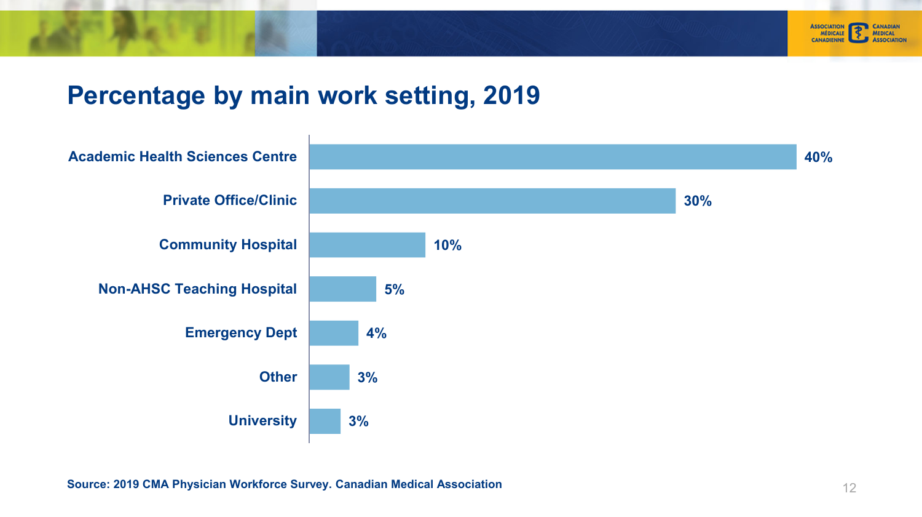

#### <span id="page-11-0"></span>**Percentage by main work setting, 2019**

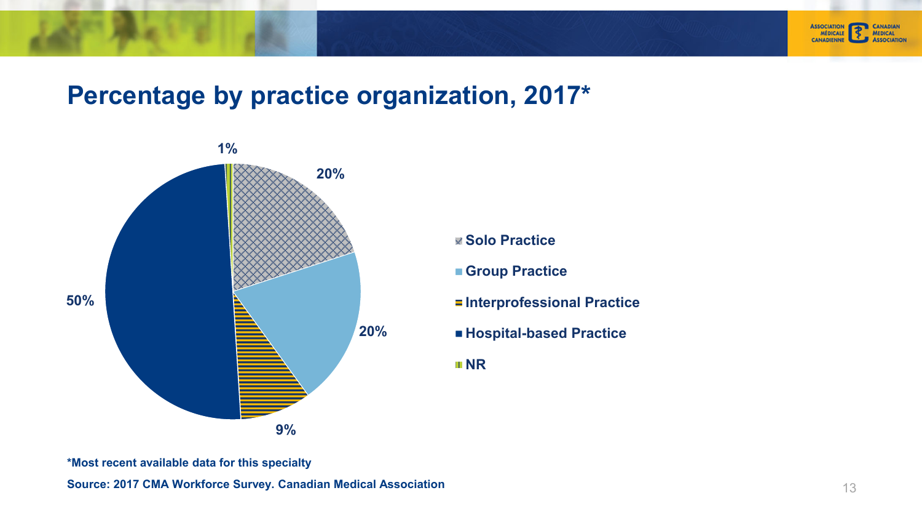<span id="page-12-0"></span>



#### **Percentage by practice organization, 2017 \***



- **Solo Practice**
- **Group Practice**
- $=$ **Interprofessional Practice**
- **Hospital-based Practice**

**NR** 

**\*Most recent available data for this specialty**

**Source: 2017 CMA Workforce Survey. Canadian Medical Association**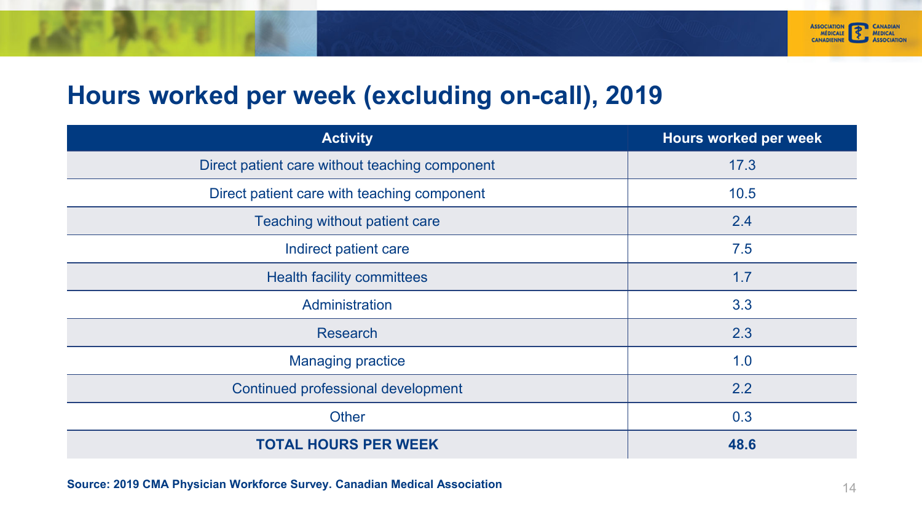

#### <span id="page-13-0"></span>**Hours worked per week (excluding on-call), 2019**

| <b>Activity</b>                                | Hours worked per week |
|------------------------------------------------|-----------------------|
| Direct patient care without teaching component | 17.3                  |
| Direct patient care with teaching component    | 10.5                  |
| Teaching without patient care                  | 2.4                   |
| Indirect patient care                          | 7.5                   |
| <b>Health facility committees</b>              | 1.7                   |
| Administration                                 | 3.3                   |
| <b>Research</b>                                | 2.3                   |
| <b>Managing practice</b>                       | 1.0                   |
| Continued professional development             | 2.2                   |
| <b>Other</b>                                   | 0.3                   |
| <b>TOTAL HOURS PER WEEK</b>                    | 48.6                  |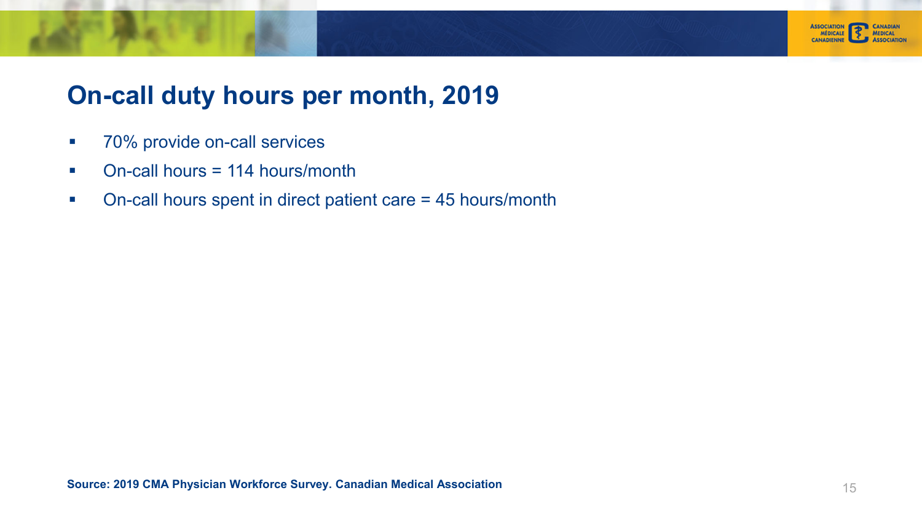

#### <span id="page-14-0"></span>**On-call duty hours per month, 2019**

- $\mathcal{L}_{\mathcal{A}}$ 70% provide on-call services
- $\mathcal{C}^{\mathcal{A}}$ On-call hours = 114 hours/month
- $\mathcal{L}_{\mathcal{A}}$ On-call hours spent in direct patient care = 45 hours/month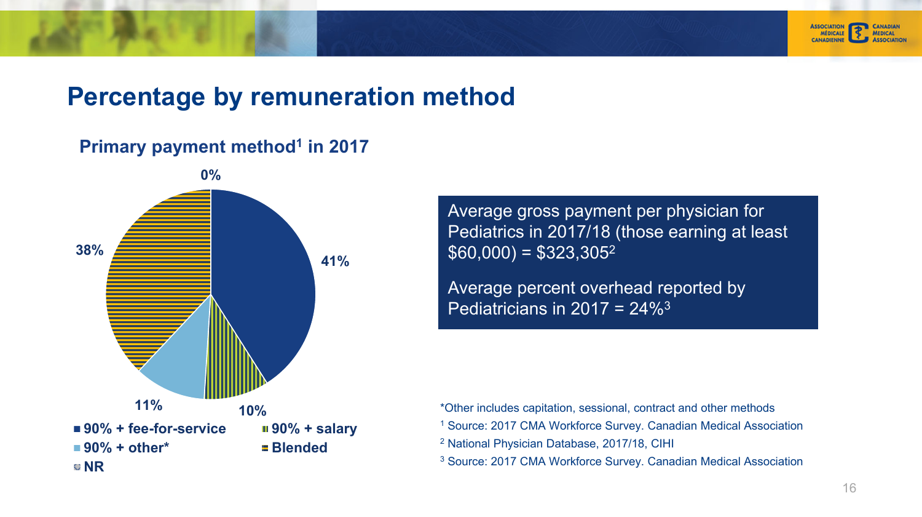

#### <span id="page-15-0"></span>**Percentage by remuneration method**

#### **Primary payment method<sup>1</sup> in 2017**



Average gross payment per physician for Pediatrics in 2017/18 (those earning at least  $$60,000$ ) = \$323,305<sup>2</sup>

Average percent overhead reported by Pediatricians in 2017 =  $24\%$ <sup>3</sup>

\*Other includes capitation, sessional, contract and other methods

- 1 Source: 2017 CMA Workforce Survey. Canadian Medical Association
- 2 National Physician Database, 2017/18, CIHI
- 3 Source: 2017 CMA Workforce Survey. Canadian Medical Association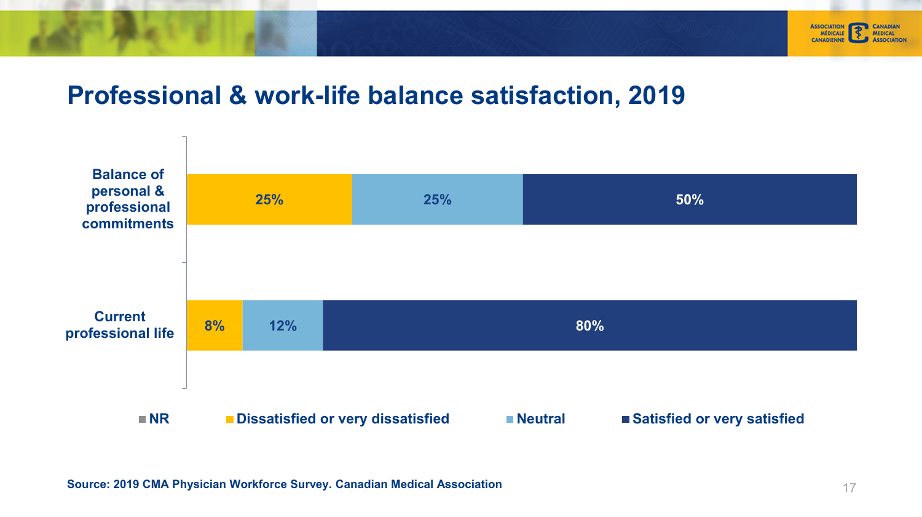

#### <span id="page-16-0"></span>**Professional & work-life balance satisfaction, 2019**

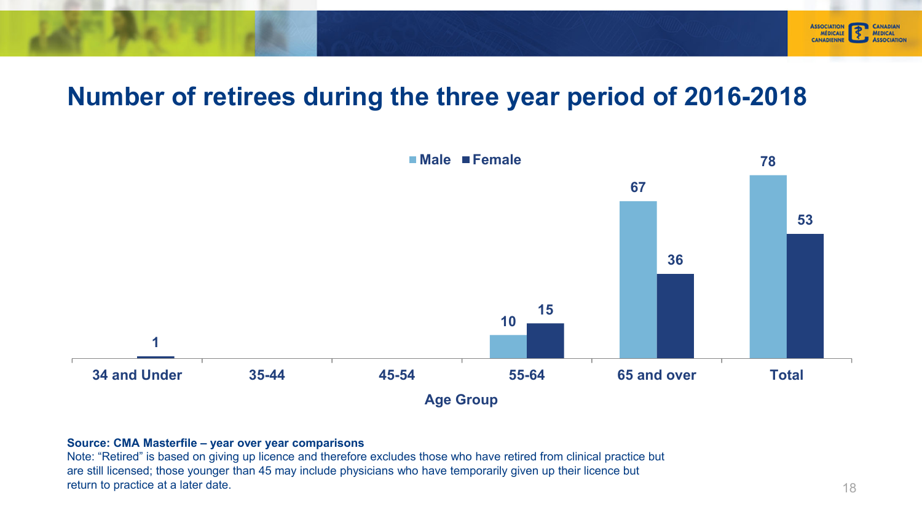#### <span id="page-17-0"></span>**Number of retirees during the three year period of 2016-2018**



#### **Source: CMA Masterfile – year over year comparisons**

Note: "Retired" is based on giving up licence and therefore excludes those who have retired from clinical practice but are still licensed; those younger than 45 may include physicians who have temporarily given up their licence but return to practice at a later date. 18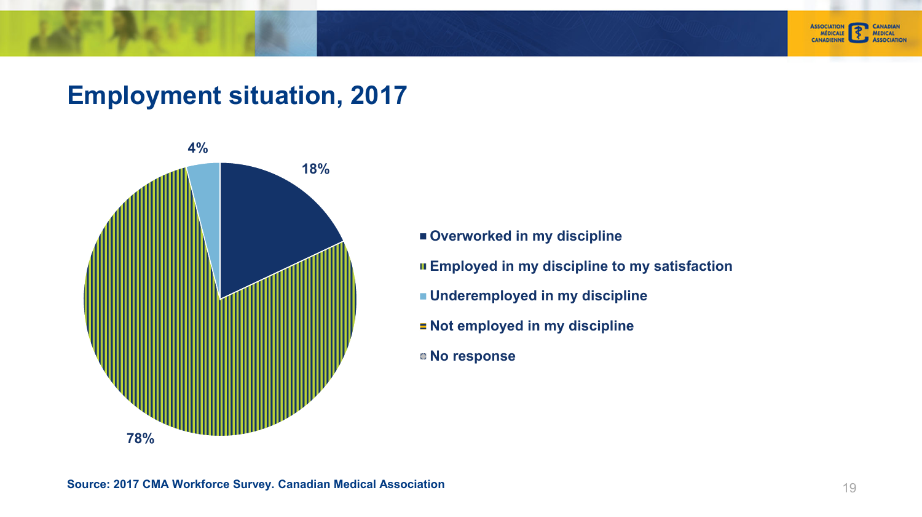<span id="page-18-0"></span>



#### **Employment situation, 2017**



- **Overworked in my discipline**
- **Employed in my discipline to my satisfaction**
- **Underemployed in my discipline**
- **E** Not employed in my discipline
- **No response**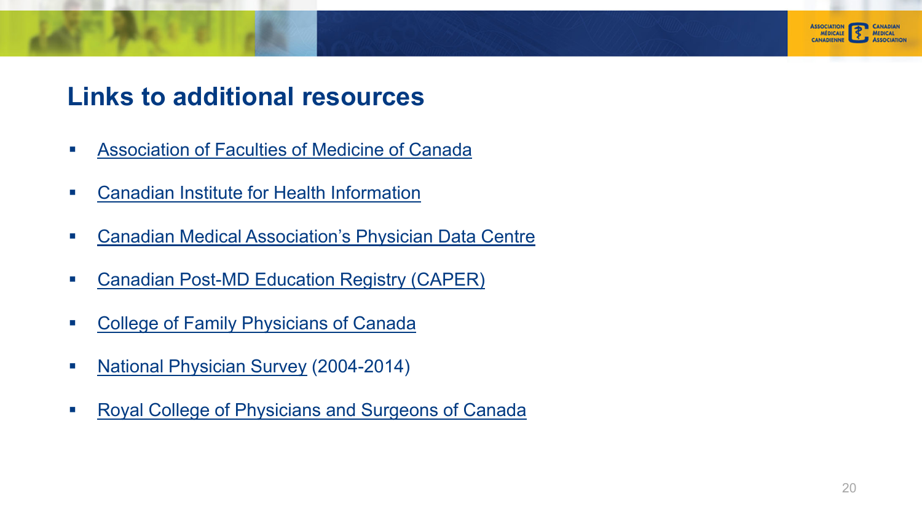<span id="page-19-0"></span>

#### **[Links to additional resources](https://www.cma.ca/En/Pages/cma-physician-data-centre.aspx)**

- $\mathcal{L}_{\mathcal{A}}$ [Association](http://www.caper.ca/) [of](http://www.caper.ca/) [Faculties](http://www.caper.ca/) [of](http://www.caper.ca/) [Medicine](http://www.caper.ca/) [of](http://www.caper.ca/) [Can](http://www.caper.ca/)ada
- $\overline{\phantom{a}}$ [Canadian Institute for Health Inform](http://www.cfpc.ca/)ation
- $\mathcal{L}_{\mathcal{A}}$ [Canadian](http://www.nationalphysiciansurvey.ca/) [Medical](http://www.nationalphysiciansurvey.ca/) [Association's](http://www.nationalphysiciansurvey.ca/) [P](http://www.nationalphysiciansurvey.ca/)hysician Data Centre
- $\overline{\phantom{a}}$ [Canadian Post-MD Education Registry \(CAPER](http://www.royalcollege.ca/rcsite/home-e))
- $\overline{\phantom{a}}$ College of Family Physicians of Canada
- $\overline{\phantom{a}}$ National Physician Survey (2004-2014)
- $\overline{\phantom{a}}$ Royal College of Physicians and Surgeons of Canada